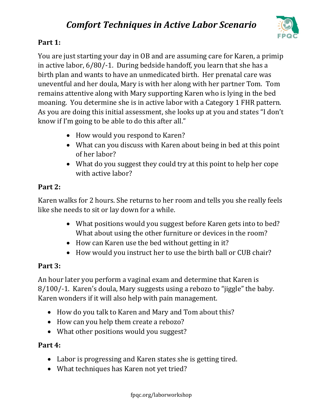

## **Part 1:**

You are just starting your day in OB and are assuming care for Karen, a primip in active labor, 6/80/-1. During bedside handoff, you learn that she has a birth plan and wants to have an unmedicated birth. Her prenatal care was uneventful and her doula, Mary is with her along with her partner Tom. Tom remains attentive along with Mary supporting Karen who is lying in the bed moaning. You determine she is in active labor with a Category 1 FHR pattern. As you are doing this initial assessment, she looks up at you and states "I don't know if I'm going to be able to do this after all."

- How would you respond to Karen?
- What can you discuss with Karen about being in bed at this point of her labor?
- What do you suggest they could try at this point to help her cope with active labor?

## **Part 2:**

Karen walks for 2 hours. She returns to her room and tells you she really feels like she needs to sit or lay down for a while.

- What positions would you suggest before Karen gets into to bed? What about using the other furniture or devices in the room?
- How can Karen use the bed without getting in it?
- How would you instruct her to use the birth ball or CUB chair?

### **Part 3:**

An hour later you perform a vaginal exam and determine that Karen is 8/100/-1. Karen's doula, Mary suggests using a rebozo to "jiggle" the baby. Karen wonders if it will also help with pain management.

- How do you talk to Karen and Mary and Tom about this?
- How can you help them create a rebozo?
- What other positions would you suggest?

### **Part 4:**

- Labor is progressing and Karen states she is getting tired.
- What techniques has Karen not yet tried?